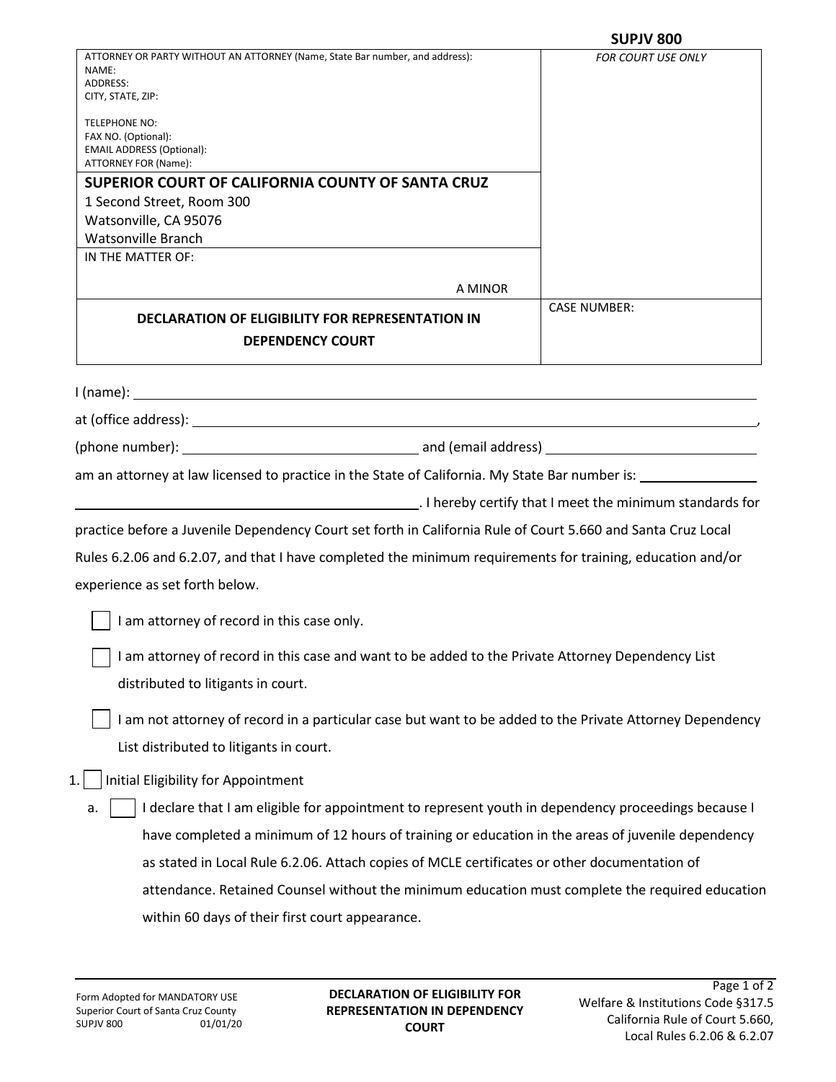|                                                                                                                                                     | <b>SUPJV 800</b>          |
|-----------------------------------------------------------------------------------------------------------------------------------------------------|---------------------------|
| ATTORNEY OR PARTY WITHOUT AN ATTORNEY (Name, State Bar number, and address):<br>NAME:<br>ADDRESS:<br>CITY, STATE, ZIP:                              | <b>FOR COURT USE ONLY</b> |
| <b>TELEPHONE NO:</b><br>FAX NO. (Optional):<br><b>EMAIL ADDRESS (Optional):</b><br>ATTORNEY FOR (Name):                                             |                           |
| SUPERIOR COURT OF CALIFORNIA COUNTY OF SANTA CRUZ                                                                                                   |                           |
| 1 Second Street, Room 300                                                                                                                           |                           |
| Watsonville, CA 95076                                                                                                                               |                           |
| <b>Watsonville Branch</b>                                                                                                                           |                           |
| IN THE MATTER OF:                                                                                                                                   |                           |
| A MINOR                                                                                                                                             |                           |
| <b>DECLARATION OF ELIGIBILITY FOR REPRESENTATION IN</b>                                                                                             | <b>CASE NUMBER:</b>       |
| <b>DEPENDENCY COURT</b>                                                                                                                             |                           |
|                                                                                                                                                     |                           |
|                                                                                                                                                     |                           |
|                                                                                                                                                     |                           |
| am an attorney at law licensed to practice in the State of California. My State Bar number is: 1983 1994                                            |                           |
| . I hereby certify that I meet the minimum standards for                                                                                            |                           |
| practice before a Juvenile Dependency Court set forth in California Rule of Court 5.660 and Santa Cruz Local                                        |                           |
| Rules 6.2.06 and 6.2.07, and that I have completed the minimum requirements for training, education and/or                                          |                           |
| experience as set forth below.                                                                                                                      |                           |
| I am attorney of record in this case only.                                                                                                          |                           |
| I am attorney of record in this case and want to be added to the Private Attorney Dependency List<br>distributed to litigants in court.             |                           |
| I am not attorney of record in a particular case but want to be added to the Private Attorney Dependency<br>List distributed to litigants in court. |                           |
| <b>Initial Eligibility for Appointment</b><br>1.                                                                                                    |                           |
| I declare that I am eligible for appointment to represent youth in dependency proceedings because I<br>a.                                           |                           |
| have completed a minimum of 12 hours of training or education in the areas of juvenile dependency                                                   |                           |
| as stated in Local Rule 6.2.06. Attach copies of MCLE certificates or other documentation of                                                        |                           |
| attendance. Retained Counsel without the minimum education must complete the required education                                                     |                           |
| within 60 days of their first court appearance.                                                                                                     |                           |
|                                                                                                                                                     |                           |